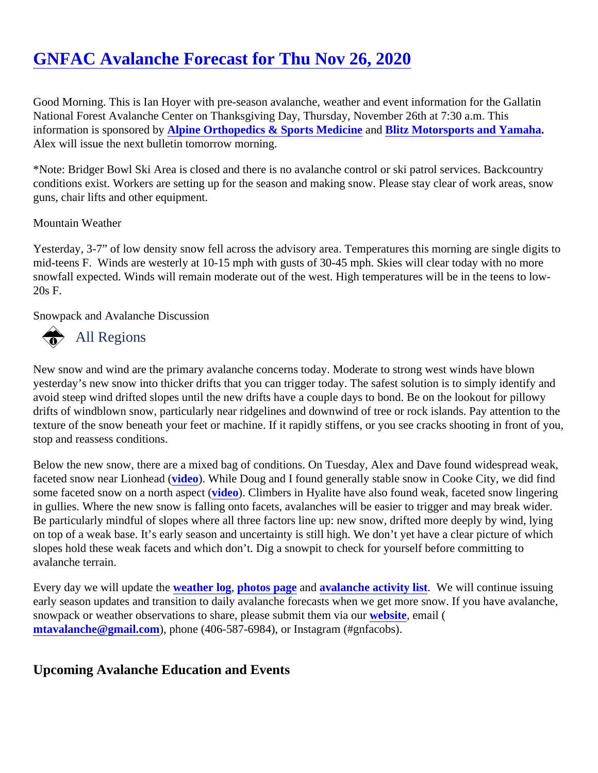## [GNFAC Avalanche Forecast for Thu Nov 26, 202](https://www.mtavalanche.com/forecast/20/11/26)0

Good Morning. This is Ian Hoyer with pre-season avalanche, weather and event information for the Gallatin National Forest Avalanche Center on Thanksgiving Day, Thursday, November 26th at 7:30 a.m. This information is sponsored by pine Orthopedics & Sports Medicine and [Blitz Motorsports and Yamaha](https://www.blitzmotorsportsmt.com/). Alex will issue the next bulletin tomorrow morning.

\*Note: Bridger Bowl Ski Area is closed and there is no avalanche control or ski patrol services. Backcountry conditions exist. Workers are setting up for the season and making snow. Please stay clear of work areas, sn guns, chair lifts and other equipment.

## Mountain Weather

Yesterday, 3-7" of low density snow fell across the advisory area. Temperatures this morning are single digits mid-teens F. Winds are westerly at 10-15 mph with gusts of 30-45 mph. Skies will clear today with no more snowfall expected. Winds will remain moderate out of the west. High temperatures will be in the teens to low-20s F.

Snowpack and Avalanche Discussion

## All Regions

New snow and wind are the primary avalanche concerns today. Moderate to strong west winds have blown yesterday's new snow into thicker drifts that you can trigger today. The safest solution is to simply identify and avoid steep wind drifted slopes until the new drifts have a couple days to bond. Be on the lookout for pillowy drifts of windblown snow, particularly near ridgelines and downwind of tree or rock islands. Pay attention to th texture of the snow beneath your feet or machine. If it rapidly stiffens, or you see cracks shooting in front of you stop and reassess conditions.

Below the new snow, there are a mixed bag of conditions. On Tuesday, Alex and Dave found widespread we faceted snow near Lionhead (eo). While Doug and I found generally stable snow in Cooke City, we did find some faceted snow on a north aspecteo). Climbers in Hyalite have also found weak, faceted snow lingering in gullies. Where the new snow is falling onto facets, avalanches will be easier to trigger and may break wider Be particularly mindful of slopes where all three factors line up: new snow, drifted more deeply by wind, lying on top of a weak base. It's early season and uncertainty is still high. We don't yet have a clear picture of whic slopes hold these weak facets and which don't. Dig a snowpit to check for yourself before committing to avalanche terrain.

Every day we will update the eather log [photos page](https://www.mtavalanche.com/photos) an[d avalanche activity list.](https://www.mtavalanche.com/avalanche-activity) We will continue issuing early season updates and transition to daily avalanche forecasts when we get more snow. If you have avalan snowpack or weather observations to share, please submit them wiaboute email ( [mtavalanche@gmail.com](mailto:mtavalanche@gmail.com)), phone (406-587-6984), or Instagram (#gnfacobs).

Upcoming Avalanche Education and Events